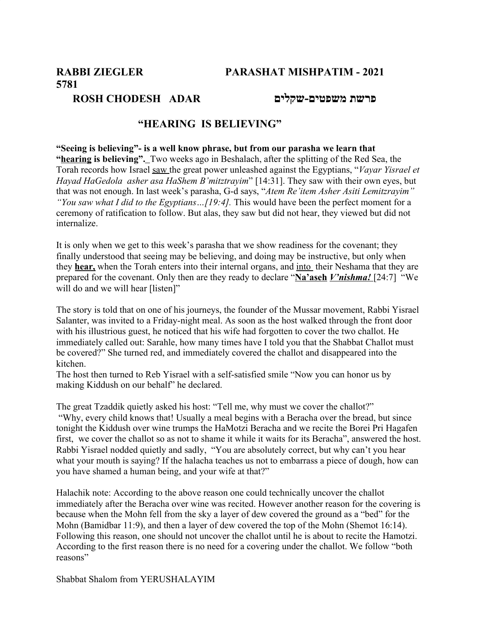# **5781**

### **פרשת משפטים-שקלים ADAR CHODESH ROSH**

## **"HEARING IS BELIEVING"**

**"Seeing is believing"- is a well know phrase, but from our parasha we learn that "hearing is believing".** Two weeks ago in Beshalach, after the splitting of the Red Sea, the Torah records how Israel saw the great power unleashed against the Egyptians, "*Vayar Yisrael et Hayad HaGedola asher asa HaShem B'mitztrayim*" [14:31]. They saw with their own eyes, but that was not enough. In last week's parasha, G-d says, "*Atem Re'item Asher Asiti Lemitzrayim" "You saw what I did to the Egyptians…[19:4].* This would have been the perfect moment for a ceremony of ratification to follow. But alas, they saw but did not hear, they viewed but did not internalize.

It is only when we get to this week's parasha that we show readiness for the covenant; they finally understood that seeing may be believing, and doing may be instructive, but only when they **hear,** when the Torah enters into their internal organs, and into their Neshama that they are prepared for the covenant. Only then are they ready to declare "**Na'aseh** *V'nishma!* [24:7] "We will do and we will hear [listen]"

The story is told that on one of his journeys, the founder of the Mussar movement, Rabbi Yisrael Salanter, was invited to a Friday-night meal. As soon as the host walked through the front door with his illustrious guest, he noticed that his wife had forgotten to cover the two challot. He immediately called out: Sarahle, how many times have I told you that the Shabbat Challot must be covered?" She turned red, and immediately covered the challot and disappeared into the kitchen.

The host then turned to Reb Yisrael with a self-satisfied smile "Now you can honor us by making Kiddush on our behalf" he declared.

The great Tzaddik quietly asked his host: "Tell me, why must we cover the challot?" "Why, every child knows that! Usually a meal begins with a Beracha over the bread, but since tonight the Kiddush over wine trumps the HaMotzi Beracha and we recite the Borei Pri Hagafen first, we cover the challot so as not to shame it while it waits for its Beracha", answered the host. Rabbi Yisrael nodded quietly and sadly, "You are absolutely correct, but why can't you hear what your mouth is saying? If the halacha teaches us not to embarrass a piece of dough, how can you have shamed a human being, and your wife at that?"

Halachik note: According to the above reason one could technically uncover the challot immediately after the Beracha over wine was recited. However another reason for the covering is because when the Mohn fell from the sky a layer of dew covered the ground as a "bed" for the Mohn (Bamidbar 11:9), and then a layer of dew covered the top of the Mohn (Shemot 16:14). Following this reason, one should not uncover the challot until he is about to recite the Hamotzi. According to the first reason there is no need for a covering under the challot. We follow "both reasons"